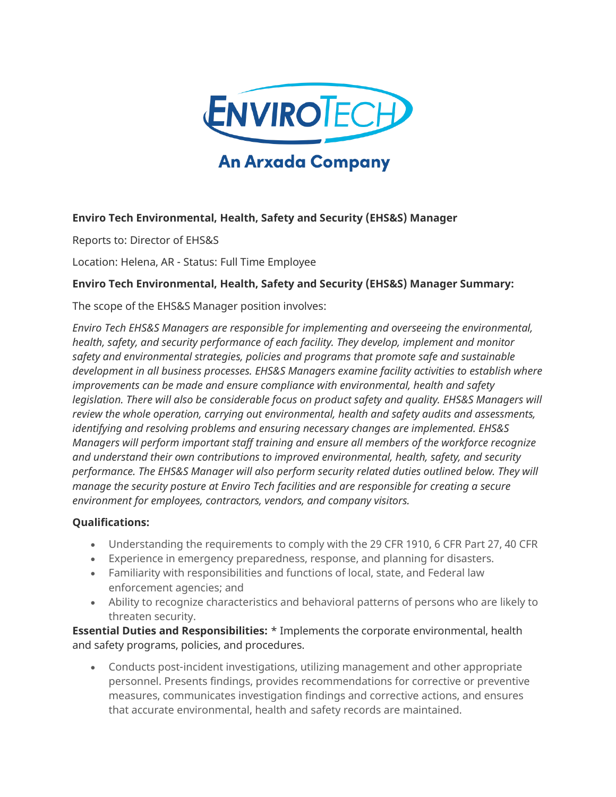

## **Enviro Tech Environmental, Health, Safety and Security (EHS&S) Manager**

Reports to: Director of EHS&S

Location: Helena, AR - Status: Full Time Employee

### **Enviro Tech Environmental, Health, Safety and Security (EHS&S) Manager Summary:**

The scope of the EHS&S Manager position involves:

*Enviro Tech EHS&S Managers are responsible for implementing and overseeing the environmental, health, safety, and security performance of each facility. They develop, implement and monitor safety and environmental strategies, policies and programs that promote safe and sustainable development in all business processes. EHS&S Managers examine facility activities to establish where improvements can be made and ensure compliance with environmental, health and safety legislation. There will also be considerable focus on product safety and quality. EHS&S Managers will review the whole operation, carrying out environmental, health and safety audits and assessments, identifying and resolving problems and ensuring necessary changes are implemented. EHS&S Managers will perform important staff training and ensure all members of the workforce recognize and understand their own contributions to improved environmental, health, safety, and security performance. The EHS&S Manager will also perform security related duties outlined below. They will manage the security posture at Enviro Tech facilities and are responsible for creating a secure environment for employees, contractors, vendors, and company visitors.*

#### **Qualifications:**

- Understanding the requirements to comply with the 29 CFR 1910, 6 CFR Part 27, 40 CFR
- Experience in emergency preparedness, response, and planning for disasters.
- Familiarity with responsibilities and functions of local, state, and Federal law enforcement agencies; and
- Ability to recognize characteristics and behavioral patterns of persons who are likely to threaten security.

**Essential Duties and Responsibilities:** \* Implements the corporate environmental, health and safety programs, policies, and procedures.

• Conducts post-incident investigations, utilizing management and other appropriate personnel. Presents findings, provides recommendations for corrective or preventive measures, communicates investigation findings and corrective actions, and ensures that accurate environmental, health and safety records are maintained.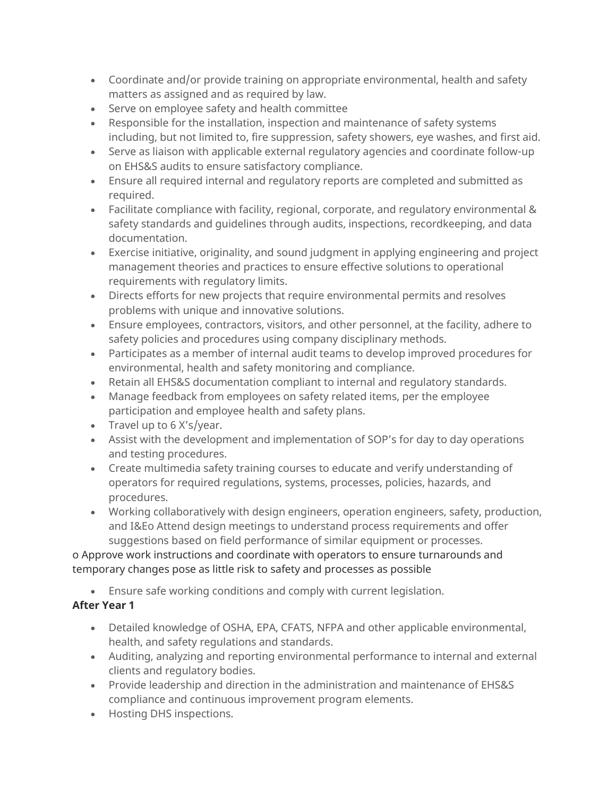- Coordinate and/or provide training on appropriate environmental, health and safety matters as assigned and as required by law.
- Serve on employee safety and health committee
- Responsible for the installation, inspection and maintenance of safety systems including, but not limited to, fire suppression, safety showers, eye washes, and first aid.
- Serve as liaison with applicable external regulatory agencies and coordinate follow-up on EHS&S audits to ensure satisfactory compliance.
- Ensure all required internal and regulatory reports are completed and submitted as required.
- Facilitate compliance with facility, regional, corporate, and regulatory environmental & safety standards and guidelines through audits, inspections, recordkeeping, and data documentation.
- Exercise initiative, originality, and sound judgment in applying engineering and project management theories and practices to ensure effective solutions to operational requirements with regulatory limits.
- Directs efforts for new projects that require environmental permits and resolves problems with unique and innovative solutions.
- Ensure employees, contractors, visitors, and other personnel, at the facility, adhere to safety policies and procedures using company disciplinary methods.
- Participates as a member of internal audit teams to develop improved procedures for environmental, health and safety monitoring and compliance.
- Retain all EHS&S documentation compliant to internal and regulatory standards.
- Manage feedback from employees on safety related items, per the employee participation and employee health and safety plans.
- Travel up to 6 X's/year.
- Assist with the development and implementation of SOP's for day to day operations and testing procedures.
- Create multimedia safety training courses to educate and verify understanding of operators for required regulations, systems, processes, policies, hazards, and procedures.
- Working collaboratively with design engineers, operation engineers, safety, production, and I&Eo Attend design meetings to understand process requirements and offer suggestions based on field performance of similar equipment or processes.

## o Approve work instructions and coordinate with operators to ensure turnarounds and temporary changes pose as little risk to safety and processes as possible

• Ensure safe working conditions and comply with current legislation.

# **After Year 1**

- Detailed knowledge of OSHA, EPA, CFATS, NFPA and other applicable environmental, health, and safety regulations and standards.
- Auditing, analyzing and reporting environmental performance to internal and external clients and regulatory bodies.
- Provide leadership and direction in the administration and maintenance of EHS&S compliance and continuous improvement program elements.
- Hosting DHS inspections.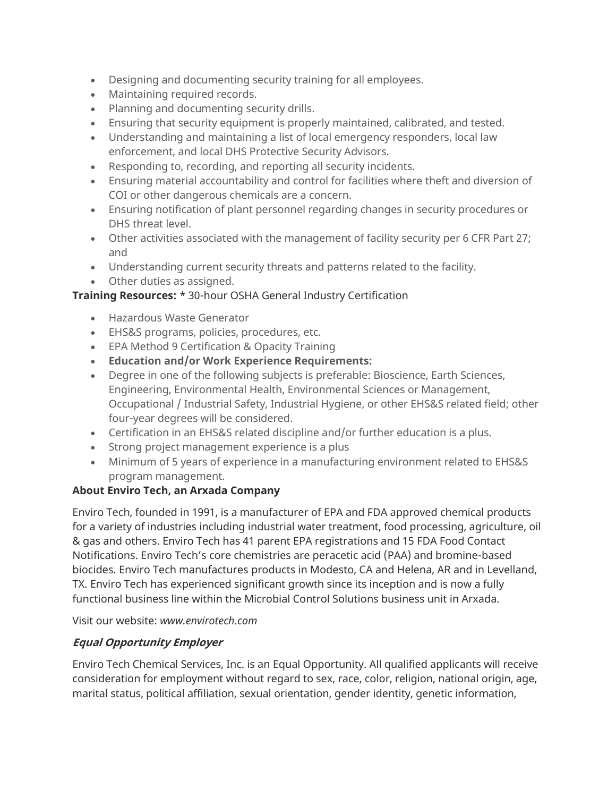- Designing and documenting security training for all employees.
- Maintaining required records.
- Planning and documenting security drills.
- Ensuring that security equipment is properly maintained, calibrated, and tested.
- Understanding and maintaining a list of local emergency responders, local law enforcement, and local DHS Protective Security Advisors.
- Responding to, recording, and reporting all security incidents.
- Ensuring material accountability and control for facilities where theft and diversion of COI or other dangerous chemicals are a concern.
- Ensuring notification of plant personnel regarding changes in security procedures or DHS threat level.
- Other activities associated with the management of facility security per 6 CFR Part 27; and
- Understanding current security threats and patterns related to the facility.
- Other duties as assigned.

### **Training Resources:** \* 30-hour OSHA General Industry Certification

- Hazardous Waste Generator
- EHS&S programs, policies, procedures, etc.
- EPA Method 9 Certification & Opacity Training
- **Education and/or Work Experience Requirements:**
- Degree in one of the following subjects is preferable: Bioscience, Earth Sciences, Engineering, Environmental Health, Environmental Sciences or Management, Occupational / Industrial Safety, Industrial Hygiene, or other EHS&S related field; other four-year degrees will be considered.
- Certification in an EHS&S related discipline and/or further education is a plus.
- Strong project management experience is a plus
- Minimum of 5 years of experience in a manufacturing environment related to EHS&S program management.

### **About Enviro Tech, an Arxada Company**

Enviro Tech, founded in 1991, is a manufacturer of EPA and FDA approved chemical products for a variety of industries including industrial water treatment, food processing, agriculture, oil & gas and others. Enviro Tech has 41 parent EPA registrations and 15 FDA Food Contact Notifications. Enviro Tech's core chemistries are peracetic acid (PAA) and bromine-based biocides. Enviro Tech manufactures products in Modesto, CA and Helena, AR and in Levelland, TX. Enviro Tech has experienced significant growth since its inception and is now a fully functional business line within the Microbial Control Solutions business unit in Arxada.

Visit our website: *www.envirotech.com*

## **Equal Opportunity Employer**

Enviro Tech Chemical Services, Inc. is an Equal Opportunity. All qualified applicants will receive consideration for employment without regard to sex, race, color, religion, national origin, age, marital status, political affiliation, sexual orientation, gender identity, genetic information,